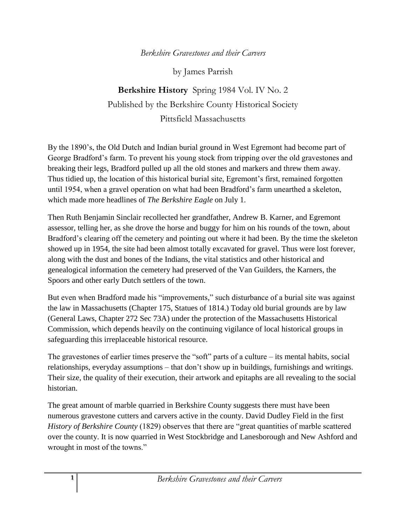## *Berkshire Gravestones and their Carvers*

by James Parrish

**Berkshire History** Spring 1984 Vol. IV No. 2 Published by the Berkshire County Historical Society Pittsfield Massachusetts

By the 1890's, the Old Dutch and Indian burial ground in West Egremont had become part of George Bradford's farm. To prevent his young stock from tripping over the old gravestones and breaking their legs, Bradford pulled up all the old stones and markers and threw them away. Thus tidied up, the location of this historical burial site, Egremont's first, remained forgotten until 1954, when a gravel operation on what had been Bradford's farm unearthed a skeleton, which made more headlines of *The Berkshire Eagle* on July 1.

Then Ruth Benjamin Sinclair recollected her grandfather, Andrew B. Karner, and Egremont assessor, telling her, as she drove the horse and buggy for him on his rounds of the town, about Bradford's clearing off the cemetery and pointing out where it had been. By the time the skeleton showed up in 1954, the site had been almost totally excavated for gravel. Thus were lost forever, along with the dust and bones of the Indians, the vital statistics and other historical and genealogical information the cemetery had preserved of the Van Guilders, the Karners, the Spoors and other early Dutch settlers of the town.

But even when Bradford made his "improvements," such disturbance of a burial site was against the law in Massachusetts (Chapter 175, Statues of 1814.) Today old burial grounds are by law (General Laws, Chapter 272 Sec 73A) under the protection of the Massachusetts Historical Commission, which depends heavily on the continuing vigilance of local historical groups in safeguarding this irreplaceable historical resource.

The gravestones of earlier times preserve the "soft" parts of a culture – its mental habits, social relationships, everyday assumptions – that don't show up in buildings, furnishings and writings. Their size, the quality of their execution, their artwork and epitaphs are all revealing to the social historian.

The great amount of marble quarried in Berkshire County suggests there must have been numerous gravestone cutters and carvers active in the county. David Dudley Field in the first *History of Berkshire County* (1829) observes that there are "great quantities of marble scattered over the county. It is now quarried in West Stockbridge and Lanesborough and New Ashford and wrought in most of the towns."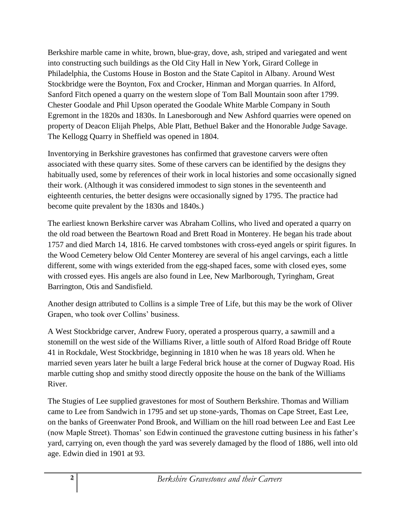Berkshire marble came in white, brown, blue-gray, dove, ash, striped and variegated and went into constructing such buildings as the Old City Hall in New York, Girard College in Philadelphia, the Customs House in Boston and the State Capitol in Albany. Around West Stockbridge were the Boynton, Fox and Crocker, Hinman and Morgan quarries. In Alford, Sanford Fitch opened a quarry on the western slope of Tom Ball Mountain soon after 1799. Chester Goodale and Phil Upson operated the Goodale White Marble Company in South Egremont in the 1820s and 1830s. In Lanesborough and New Ashford quarries were opened on property of Deacon Elijah Phelps, Able Platt, Bethuel Baker and the Honorable Judge Savage. The Kellogg Quarry in Sheffield was opened in 1804.

Inventorying in Berkshire gravestones has confirmed that gravestone carvers were often associated with these quarry sites. Some of these carvers can be identified by the designs they habitually used, some by references of their work in local histories and some occasionally signed their work. (Although it was considered immodest to sign stones in the seventeenth and eighteenth centuries, the better designs were occasionally signed by 1795. The practice had become quite prevalent by the 1830s and 1840s.)

The earliest known Berkshire carver was Abraham Collins, who lived and operated a quarry on the old road between the Beartown Road and Brett Road in Monterey. He began his trade about 1757 and died March 14, 1816. He carved tombstones with cross-eyed angels or spirit figures. In the Wood Cemetery below Old Center Monterey are several of his angel carvings, each a little different, some with wings exterided from the egg-shaped faces, some with closed eyes, some with crossed eyes. His angels are also found in Lee, New Marlborough, Tyringham, Great Barrington, Otis and Sandisfield.

Another design attributed to Collins is a simple Tree of Life, but this may be the work of Oliver Grapen, who took over Collins' business.

A West Stockbridge carver, Andrew Fuory, operated a prosperous quarry, a sawmill and a stonemill on the west side of the Williams River, a little south of Alford Road Bridge off Route 41 in Rockdale, West Stockbridge, beginning in 1810 when he was 18 years old. When he married seven years later he built a large Federal brick house at the corner of Dugway Road. His marble cutting shop and smithy stood directly opposite the house on the bank of the Williams River.

The Stugies of Lee supplied gravestones for most of Southern Berkshire. Thomas and William came to Lee from Sandwich in 1795 and set up stone-yards, Thomas on Cape Street, East Lee, on the banks of Greenwater Pond Brook, and William on the hill road between Lee and East Lee (now Maple Street). Thomas' son Edwin continued the gravestone cutting business in his father's yard, carrying on, even though the yard was severely damaged by the flood of 1886, well into old age. Edwin died in 1901 at 93.